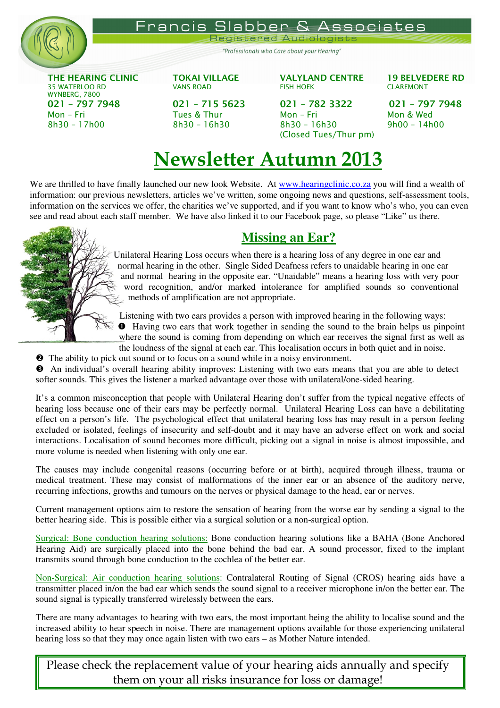

Francis Slabber & sociates

Registered Audioloc

"Professionals who Care about your Hearing"

THE HEARING CLINIC TOKAI VILLAGE VALYLAND CENTRE 19 BELVEDERE RD WYNBERG, 7800 021 – 797 7948 021 – 715 5623 021 – 782 3322 021 – 797 7948 Mon – Fri Tues & Thur Mon – Fri Mon & Wed 8h30 – 17h00 8h30 – 16h30 – 16h30 8h30 – 16h30

35 WATERLOO RD VANS ROAD FISH HOEK CLAREMONT

(Closed Tues/Thur pm)

## Newsletter Autumn 2013

We are thrilled to have finally launched our new look Website. At www.hearingclinic.co.za you will find a wealth of information: our previous newsletters, articles we've written, some ongoing news and questions, self-assessment tools, information on the services we offer, the charities we've supported, and if you want to know who's who, you can even see and read about each staff member. We have also linked it to our Facebook page, so please "Like" us there.



## **Missing an Ear?**

Unilateral Hearing Loss occurs when there is a hearing loss of any degree in one ear and normal hearing in the other. Single Sided Deafness refers to unaidable hearing in one ear and normal hearing in the opposite ear. "Unaidable" means a hearing loss with very poor word recognition, and/or marked intolerance for amplified sounds so conventional methods of amplification are not appropriate.

Listening with two ears provides a person with improved hearing in the following ways: Having two ears that work together in sending the sound to the brain helps us pinpoint where the sound is coming from depending on which ear receives the signal first as well as the loudness of the signal at each ear. This localisation occurs in both quiet and in noise.

**•** The ability to pick out sound or to focus on a sound while in a noisy environment.

 An individual's overall hearing ability improves: Listening with two ears means that you are able to detect softer sounds. This gives the listener a marked advantage over those with unilateral/one-sided hearing.

It's a common misconception that people with Unilateral Hearing don't suffer from the typical negative effects of hearing loss because one of their ears may be perfectly normal. Unilateral Hearing Loss can have a debilitating effect on a person's life. The psychological effect that unilateral hearing loss has may result in a person feeling excluded or isolated, feelings of insecurity and self-doubt and it may have an adverse effect on work and social interactions. Localisation of sound becomes more difficult, picking out a signal in noise is almost impossible, and more volume is needed when listening with only one ear.

The causes may include congenital reasons (occurring before or at birth), acquired through illness, trauma or medical treatment. These may consist of malformations of the inner ear or an absence of the auditory nerve, recurring infections, growths and tumours on the nerves or physical damage to the head, ear or nerves.

Current management options aim to restore the sensation of hearing from the worse ear by sending a signal to the better hearing side. This is possible either via a surgical solution or a non-surgical option.

Surgical: Bone conduction hearing solutions: Bone conduction hearing solutions like a BAHA (Bone Anchored Hearing Aid) are surgically placed into the bone behind the bad ear. A sound processor, fixed to the implant transmits sound through bone conduction to the cochlea of the better ear.

Non-Surgical: Air conduction hearing solutions: Contralateral Routing of Signal (CROS) hearing aids have a transmitter placed in/on the bad ear which sends the sound signal to a receiver microphone in/on the better ear. The sound signal is typically transferred wirelessly between the ears.

There are many advantages to hearing with two ears, the most important being the ability to localise sound and the increased ability to hear speech in noise. There are management options available for those experiencing unilateral hearing loss so that they may once again listen with two ears – as Mother Nature intended.

Please check the replacement value of your hearing aids annually and specify them on your all risks insurance for loss or damage!